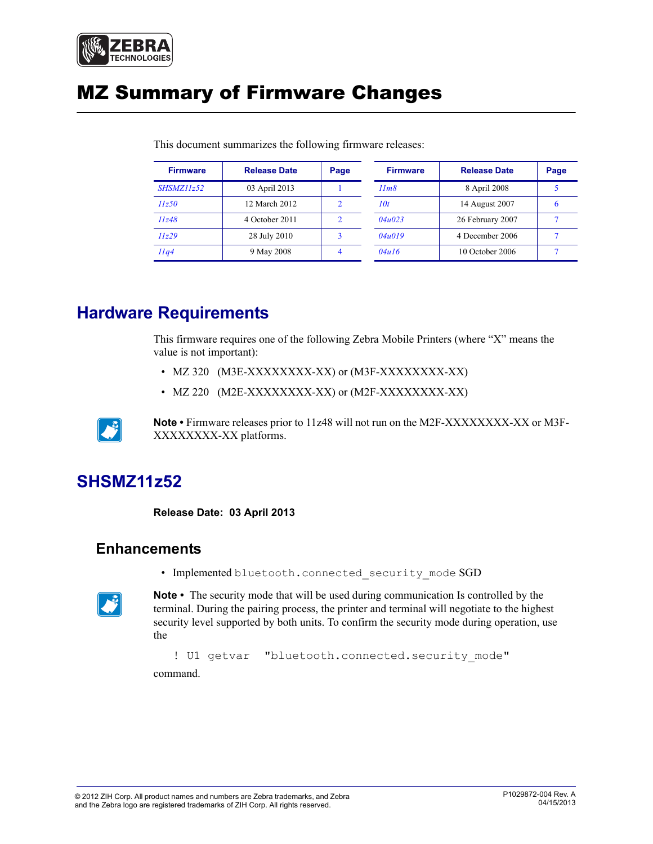

# MZ Summary of Firmware Changes

| <b>Firmware</b>   | <b>Release Date</b> | Page | <b>Firmware</b> | <b>Release Date</b> | Page |
|-------------------|---------------------|------|-----------------|---------------------|------|
| <b>SHSMZ11z52</b> | 03 April 2013       |      | 11m8            | 8 April 2008        |      |
| 11z50             | 12 March 2012       |      | 10t             | 14 August 2007      | n    |
| 11z48             | 4 October 2011      |      | 04u023          | 26 February 2007    |      |
| 11z29             | 28 July 2010        |      | 04u019          | 4 December 2006     |      |
| Ilq4              | 9 May 2008          |      | 04u16           | 10 October 2006     |      |

This document summarizes the following firmware releases:

# **Hardware Requirements**

This firmware requires one of the following Zebra Mobile Printers (where "X" means the value is not important):

- MZ 320 (M3E-XXXXXXXX-XX) or (M3F-XXXXXXXX-XX)
- MZ 220 (M2E-XXXXXXXX-XX) or (M2F-XXXXXXXX-XX)



**Note •** Firmware releases prior to 11z48 will not run on the M2F-XXXXXXXX-XX or M3F-XXXXXXXX-XX platforms.

# <span id="page-0-1"></span>**SHSMZ11z52**

<span id="page-0-0"></span>**Release Date: 03 April 2013**

#### **Enhancements**

• Implemented bluetooth.connected security mode SGD



**Note •** The security mode that will be used during communication Is controlled by the terminal. During the pairing process, the printer and terminal will negotiate to the highest security level supported by both units. To confirm the security mode during operation, use the

! U1 getvar "bluetooth.connected.security\_mode" command.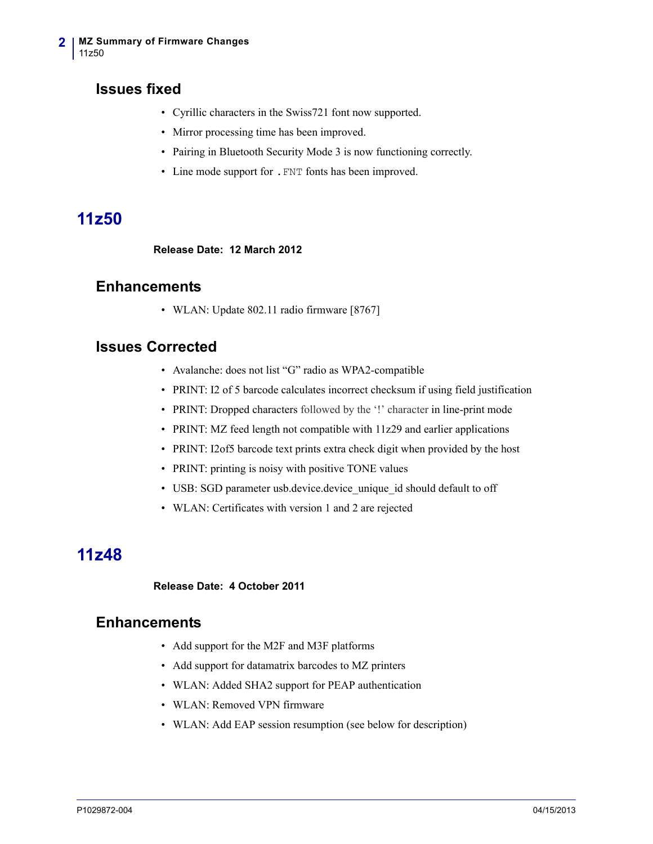### **Issues fixed**

- Cyrillic characters in the Swiss721 font now supported.
- Mirror processing time has been improved.
- Pairing in Bluetooth Security Mode 3 is now functioning correctly.
- Line mode support for .FNT fonts has been improved.

# <span id="page-1-0"></span>**11z50**

<span id="page-1-1"></span>**Release Date: 12 March 2012**

#### **Enhancements**

• WLAN: Update 802.11 radio firmware [8767]

#### **Issues Corrected**

- Avalanche: does not list "G" radio as WPA2-compatible
- PRINT: I2 of 5 barcode calculates incorrect checksum if using field justification
- PRINT: Dropped characters followed by the '!' character in line-print mode
- PRINT: MZ feed length not compatible with 11z29 and earlier applications
- PRINT: I2of5 barcode text prints extra check digit when provided by the host
- PRINT: printing is noisy with positive TONE values
- USB: SGD parameter usb.device.device unique id should default to off
- WLAN: Certificates with version 1 and 2 are rejected

# <span id="page-1-2"></span>**11z48**

#### <span id="page-1-3"></span>**Release Date: 4 October 2011**

#### **Enhancements**

- Add support for the M2F and M3F platforms
- Add support for datamatrix barcodes to MZ printers
- WLAN: Added SHA2 support for PEAP authentication
- WLAN: Removed VPN firmware
- WLAN: Add EAP session resumption (see below for description)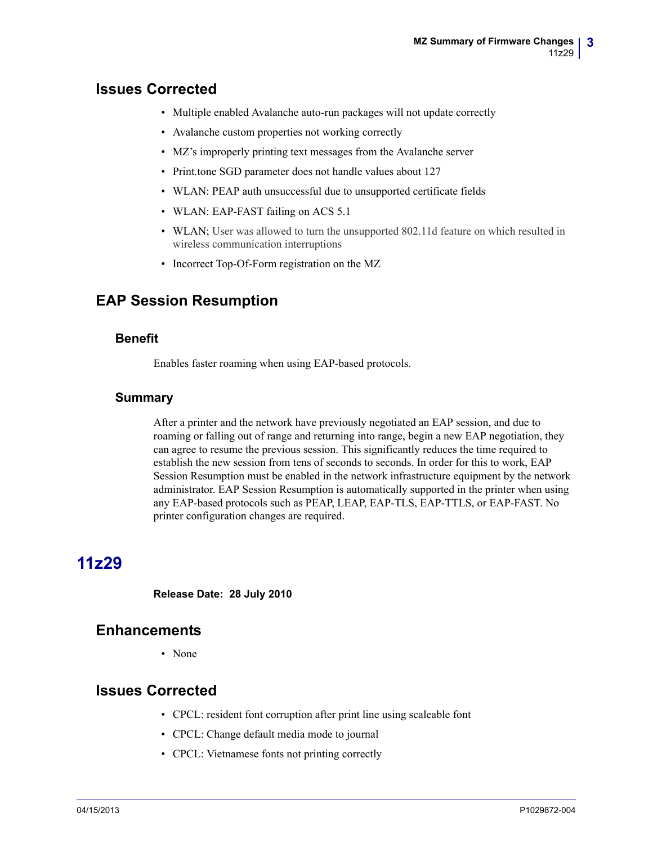### **Issues Corrected**

- Multiple enabled Avalanche auto-run packages will not update correctly
- Avalanche custom properties not working correctly
- MZ's improperly printing text messages from the Avalanche server
- Print.tone SGD parameter does not handle values about 127
- WLAN: PEAP auth unsuccessful due to unsupported certificate fields
- WLAN: EAP-FAST failing on ACS 5.1
- WLAN; User was allowed to turn the unsupported 802.11d feature on which resulted in wireless communication interruptions
- Incorrect Top-Of-Form registration on the MZ

### **EAP Session Resumption**

#### **Benefit**

Enables faster roaming when using EAP-based protocols.

#### **Summary**

After a printer and the network have previously negotiated an EAP session, and due to roaming or falling out of range and returning into range, begin a new EAP negotiation, they can agree to resume the previous session. This significantly reduces the time required to establish the new session from tens of seconds to seconds. In order for this to work, EAP Session Resumption must be enabled in the network infrastructure equipment by the network administrator. EAP Session Resumption is automatically supported in the printer when using any EAP-based protocols such as PEAP, LEAP, EAP-TLS, EAP-TTLS, or EAP-FAST. No printer configuration changes are required.

# <span id="page-2-0"></span>**11z29**

<span id="page-2-1"></span>**Release Date: 28 July 2010**

#### **Enhancements**

• None

#### **Issues Corrected**

- CPCL: resident font corruption after print line using scaleable font
- CPCL: Change default media mode to journal
- CPCL: Vietnamese fonts not printing correctly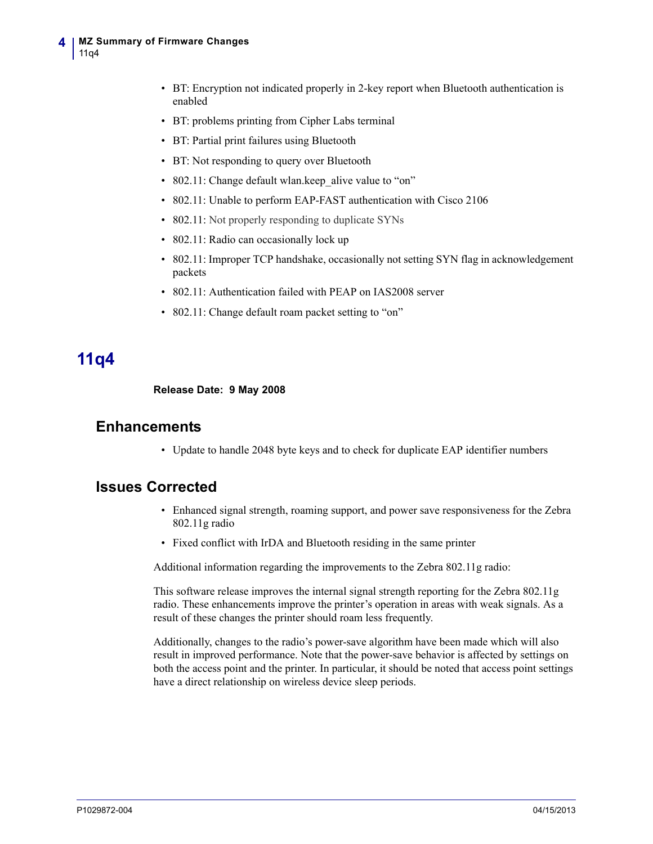- BT: Encryption not indicated properly in 2-key report when Bluetooth authentication is enabled
- BT: problems printing from Cipher Labs terminal
- BT: Partial print failures using Bluetooth
- BT: Not responding to query over Bluetooth
- 802.11: Change default wlan.keep alive value to "on"
- 802.11: Unable to perform EAP-FAST authentication with Cisco 2106
- 802.11: Not properly responding to duplicate SYNs
- 802.11: Radio can occasionally lock up
- 802.11: Improper TCP handshake, occasionally not setting SYN flag in acknowledgement packets
- 802.11: Authentication failed with PEAP on IAS2008 server
- 802.11: Change default roam packet setting to "on"

## <span id="page-3-0"></span>**11q4**

<span id="page-3-1"></span>**Release Date: 9 May 2008**

#### **Enhancements**

• Update to handle 2048 byte keys and to check for duplicate EAP identifier numbers

#### **Issues Corrected**

- Enhanced signal strength, roaming support, and power save responsiveness for the Zebra 802.11g radio
- Fixed conflict with IrDA and Bluetooth residing in the same printer

Additional information regarding the improvements to the Zebra 802.11g radio:

This software release improves the internal signal strength reporting for the Zebra 802.11g radio. These enhancements improve the printer's operation in areas with weak signals. As a result of these changes the printer should roam less frequently.

Additionally, changes to the radio's power-save algorithm have been made which will also result in improved performance. Note that the power-save behavior is affected by settings on both the access point and the printer. In particular, it should be noted that access point settings have a direct relationship on wireless device sleep periods.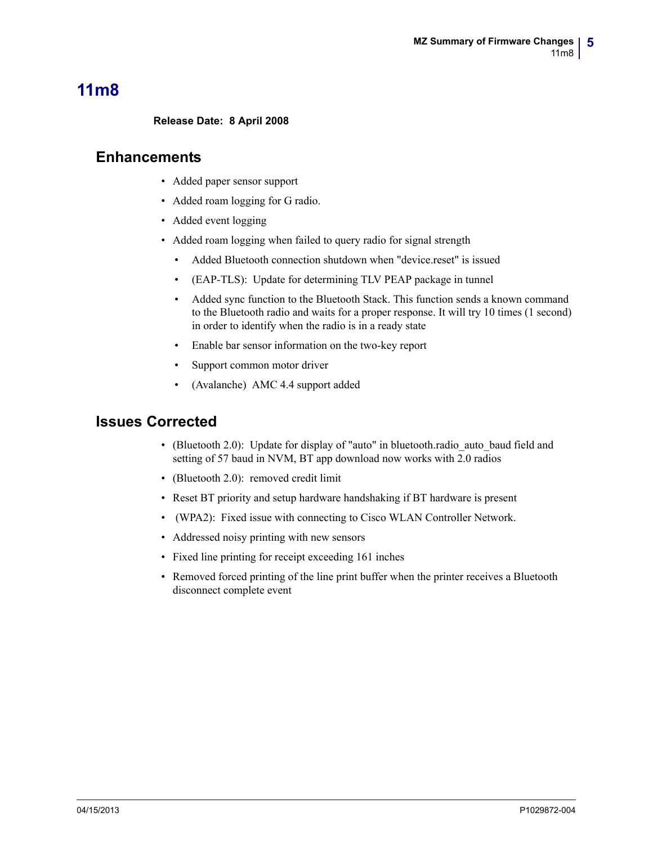# <span id="page-4-1"></span>**11m8**

#### <span id="page-4-0"></span>**Release Date: 8 April 2008**

#### **Enhancements**

- Added paper sensor support
- Added roam logging for G radio.
- Added event logging
- Added roam logging when failed to query radio for signal strength
	- Added Bluetooth connection shutdown when "device.reset" is issued
	- (EAP-TLS): Update for determining TLV PEAP package in tunnel
	- Added sync function to the Bluetooth Stack. This function sends a known command to the Bluetooth radio and waits for a proper response. It will try 10 times (1 second) in order to identify when the radio is in a ready state
	- Enable bar sensor information on the two-key report
	- Support common motor driver
	- (Avalanche) AMC 4.4 support added

### **Issues Corrected**

- (Bluetooth 2.0): Update for display of "auto" in bluetooth.radio\_auto\_baud field and setting of 57 baud in NVM, BT app download now works with 2.0 radios
- (Bluetooth 2.0): removed credit limit
- Reset BT priority and setup hardware handshaking if BT hardware is present
- (WPA2): Fixed issue with connecting to Cisco WLAN Controller Network.
- Addressed noisy printing with new sensors
- Fixed line printing for receipt exceeding 161 inches
- Removed forced printing of the line print buffer when the printer receives a Bluetooth disconnect complete event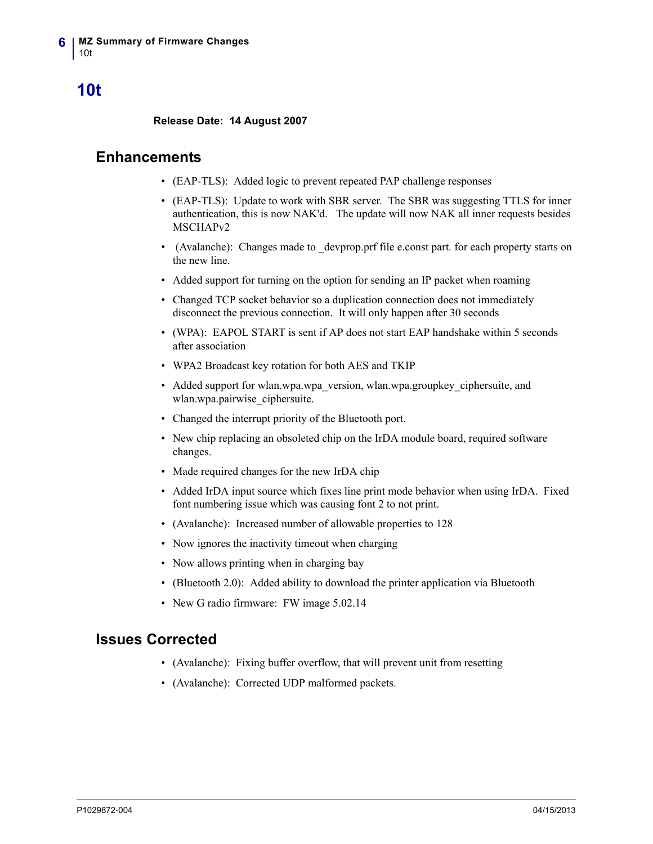# <span id="page-5-0"></span>**10t**

<span id="page-5-1"></span>**Release Date: 14 August 2007**

#### **Enhancements**

- (EAP-TLS): Added logic to prevent repeated PAP challenge responses
- (EAP-TLS): Update to work with SBR server. The SBR was suggesting TTLS for inner authentication, this is now NAK'd. The update will now NAK all inner requests besides MSCHAPv2
- (Avalanche): Changes made to devprop.prf file e.const part. for each property starts on the new line.
- Added support for turning on the option for sending an IP packet when roaming
- Changed TCP socket behavior so a duplication connection does not immediately disconnect the previous connection. It will only happen after 30 seconds
- (WPA): EAPOL START is sent if AP does not start EAP handshake within 5 seconds after association
- WPA2 Broadcast key rotation for both AES and TKIP
- Added support for wlan.wpa.wpa\_version, wlan.wpa.groupkey\_ciphersuite, and wlan.wpa.pairwise\_ciphersuite.
- Changed the interrupt priority of the Bluetooth port.
- New chip replacing an obsoleted chip on the IrDA module board, required software changes.
- Made required changes for the new IrDA chip
- Added IrDA input source which fixes line print mode behavior when using IrDA. Fixed font numbering issue which was causing font 2 to not print.
- (Avalanche): Increased number of allowable properties to 128
- Now ignores the inactivity timeout when charging
- Now allows printing when in charging bay
- (Bluetooth 2.0): Added ability to download the printer application via Bluetooth
- New G radio firmware: FW image 5.02.14

### **Issues Corrected**

- (Avalanche): Fixing buffer overflow, that will prevent unit from resetting
- (Avalanche): Corrected UDP malformed packets.